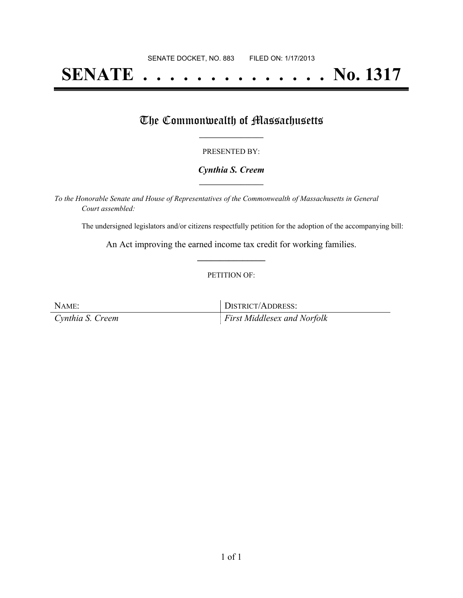# **SENATE . . . . . . . . . . . . . . No. 1317**

### The Commonwealth of Massachusetts

#### PRESENTED BY:

#### *Cynthia S. Creem* **\_\_\_\_\_\_\_\_\_\_\_\_\_\_\_\_\_**

*To the Honorable Senate and House of Representatives of the Commonwealth of Massachusetts in General Court assembled:*

The undersigned legislators and/or citizens respectfully petition for the adoption of the accompanying bill:

An Act improving the earned income tax credit for working families. **\_\_\_\_\_\_\_\_\_\_\_\_\_\_\_**

#### PETITION OF:

NAME: DISTRICT/ADDRESS: *Cynthia S. Creem First Middlesex and Norfolk*